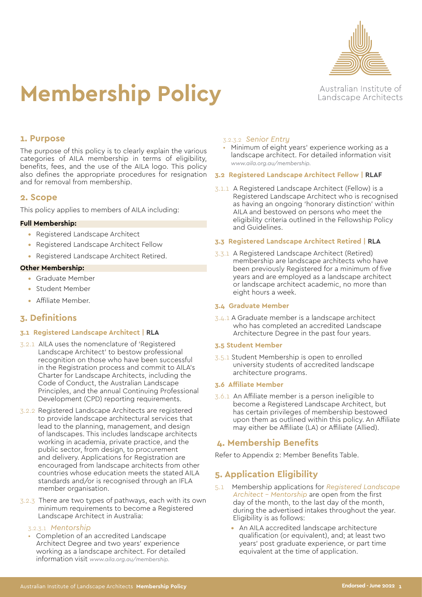

# **Membership Policy**

Australian Institute of Landscape Architects

## **1. Purpose**

The purpose of this policy is to clearly explain the various categories of AILA membership in terms of eligibility, benefits, fees, and the use of the AILA logo. This policy also defines the appropriate procedures for resignation and for removal from membership.

## **2. Scope**

This policy applies to members of AILA including:

#### **Full Membership:**

- **•** Registered Landscape Architect
- **•** Registered Landscape Architect Fellow
- **•** Registered Landscape Architect Retired.

#### **Other Membership:**

- **•** Graduate Member
- **•** Student Member
- **•** Affiliate Member.

## **3. Definitions**

#### **3.1 Registered Landscape Architect | RLA**

- 3.2.1 AILA uses the nomenclature of 'Registered Landscape Architect' to bestow professional recognition on those who have been successful in the Registration process and commit to AILA's Charter for Landscape Architects, including the Code of Conduct, the Australian Landscape Principles, and the annual Continuing Professional Development (CPD) reporting requirements.
- 3.2.2 Registered Landscape Architects are registered to provide landscape architectural services that lead to the planning, management, and design of landscapes. This includes landscape architects working in academia, private practice, and the public sector, from design, to procurement and delivery. Applications for Registration are encouraged from landscape architects from other countries whose education meets the stated AILA standards and/or is recognised through an IFLA member organisation.
- 3.2.3 There are two types of pathways, each with its own minimum requirements to become a Registered Landscape Architect in Australia:

### 3.2.3.1 *Mentorship*

• Completion of an accredited Landscape Architect Degree and two years' experience working as a landscape architect. For detailed information visit *[www.aila.org.au/membership](http://www.aila.org.au/membership).*

#### 3.2.3.2 *Senior Entry*

• Minimum of eight years' experience working as a landscape architect. For detailed information visit *[www.aila.org.au/membership.](http://www.aila.org.au/membership)*

#### **3.2 Registered Landscape Architect Fellow | RLAF**

3.1.1A Registered Landscape Architect (Fellow) is a Registered Landscape Architect who is recognised as having an ongoing 'honorary distinction' within AILA and bestowed on persons who meet the eligibility criteria outlined in the Fellowship Policy and Guidelines.

#### **3.3 Registered Landscape Architect Retired | RLA**

3.3.1 A Registered Landscape Architect (Retired) membership are landscape architects who have been previously Registered for a minimum of five years and are employed as a landscape architect or landscape architect academic, no more than eight hours a week.

#### **3.4 Graduate Member**

3.4.1 A Graduate member is a landscape architect who has completed an accredited Landscape Architecture Degree in the past four years.

#### **3.5 Student Member**

3.5.1 Student Membership is open to enrolled university students of accredited landscape architecture programs.

#### **3.6 Affiliate Member**

3.6.1 An Affiliate member is a person ineligible to become a Registered Landscape Architect, but has certain privileges of membership bestowed upon them as outlined within this policy. An Affiliate may either be Affiliate (LA) or Affiliate (Allied).

## **4. Membership Benefits**

Refer to Appendix 2: Member Benefits Table.

## **5. Application Eligibility**

- 5.1 Membership applications for *Registered Landscape Architect - Mentorship* are open from the first day of the month, to the last day of the month, during the advertised intakes throughout the year. Eligibility is as follows:
	- **•** An AILA accredited landscape architecture qualification (or equivalent), and; at least two years' post graduate experience, or part time equivalent at the time of application.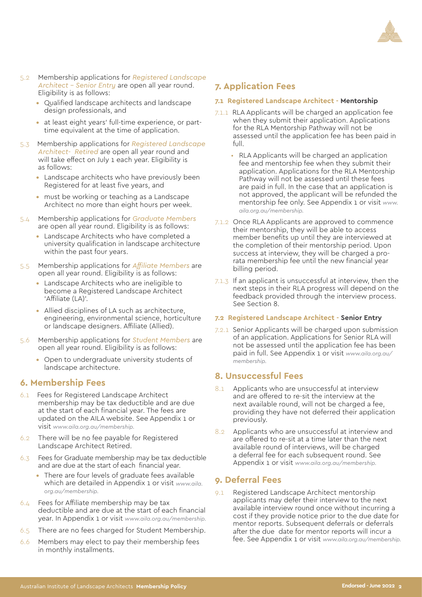

- 5.2 Membership applications for *Registered Landscape Architect - Senior Entry* are open all year round. Eligibility is as follows:
	- **•** Qualified landscape architects and landscape design professionals, and
	- **•** at least eight years' full-time experience, or parttime equivalent at the time of application.
- 5.3 Membership applications for *Registered Landscape Architect- Retired* are open all year round and will take effect on July 1 each year. Eligibility is as follows:
	- **•** Landscape architects who have previously been Registered for at least five years, and
	- **•** must be working or teaching as a Landscape Architect no more than eight hours per week.
- 5.4 Membership applications for *Graduate Members* are open all year round. Eligibility is as follows:
	- **•** Landscape Architects who have completed a university qualification in landscape architecture within the past four years.
- 5.5 Membership applications for *Affiliate Members* are open all year round. Eligibility is as follows:
	- **•** Landscape Architects who are ineligible to become a Registered Landscape Architect 'Affiliate (LA)'.
	- **•** Allied disciplines of LA such as architecture, engineering, environmental science, horticulture or landscape designers. Affiliate (Allied).
- 5.6 Membership applications for *Student Members* are open all year round. Eligibility is as follows:
	- **•** Open to undergraduate university students of landscape architecture.

## **6. Membership Fees**

- 6.1 Fees for Registered Landscape Architect membership may be tax deductible and are due at the start of each financial year. The fees are updated on the AILA website. See Appendix 1 or visit *[www.aila.org.au/membership.](http://www.aila.org.au/membership)*
- 6.2 There will be no fee payable for Registered Landscape Architect Retired.
- 6.3 Fees for Graduate membership may be tax deductible and are due at the start of each financial year.
	- **•** There are four levels of graduate fees available which are detailed in Appendix 1 or visit *[www.aila.](http://www.aila.org.au/membership) [org.au/membership](http://www.aila.org.au/membership).*
- 6.4 Fees for Affiliate membership may be tax deductible and are due at the start of each financial year. In Appendix 1 or visit *[www.aila.org.au/membership](http://www.aila.org.au/membership).*
- 6.5 There are no fees charged for Student Membership.
- 6.6 Members may elect to pay their membership fees in monthly installments.

## **7. Application Fees**

#### **7.1 Registered Landscape Architect - Mentorship**

- 7.1.1 RLA Applicants will be charged an application fee when they submit their application. Applications for the RLA Mentorship Pathway will not be assessed until the application fee has been paid in full.
	- RLA Applicants will be charged an application fee and mentorship fee when they submit their application. Applications for the RLA Mentorship Pathway will not be assessed until these fees are paid in full. In the case that an application is not approved, the applicant will be refunded the mentorship fee only. See Appendix 1 or visit *[www.](http://www.aila.org.au/membership) [aila.org.au/membership](http://www.aila.org.au/membership).*
- 7.1.2 Once RLA Applicants are approved to commence their mentorship, they will be able to access member benefits up until they are interviewed at the completion of their mentorship period. Upon success at interview, they will be charged a prorata membership fee until the new financial year billing period.
- 7.1.3 If an applicant is unsuccessful at interview, then the next steps in their RLA progress will depend on the feedback provided through the interview process. See Section 8.

#### **7.2 Registered Landscape Architect - Senior Entry**

7.2.1 Senior Applicants will be charged upon submission of an application. Applications for Senior RLA will not be assessed until the application fee has been paid in full. See Appendix 1 or visit *[www.aila.org.au/](http://www.aila.org.au/membership) [membership](http://www.aila.org.au/membership).*

## **8. Unsuccessful Fees**

- 8.1 Applicants who are unsuccessful at interview and are offered to re-sit the interview at the next available round, will not be charged a fee, providing they have not deferred their application previously.
- 8.2 Applicants who are unsuccessful at interview and are offered to re-sit at a time later than the next available round of interviews, will be charged a deferral fee for each subsequent round. See Appendix 1 or visit *[www.aila.org.au/membership](http://www.aila.org.au/membership).*

## **9. Deferral Fees**

9.1 Registered Landscape Architect mentorship applicants may defer their interview to the next available interview round once without incurring a cost if they provide notice prior to the due date for mentor reports. Subsequent deferrals or deferrals after the due date for mentor reports will incur a fee. See Appendix 1 or visit *[www.aila.org.au/membership](http://www.aila.org.au/membership).*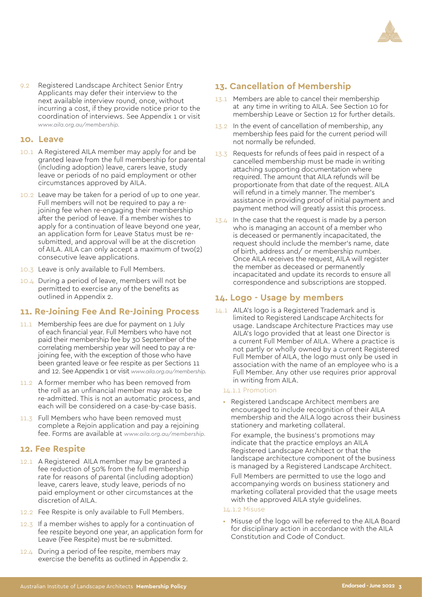

9.2 Registered Landscape Architect Senior Entry Applicants may defer their interview to the next available interview round, once, without incurring a cost, if they provide notice prior to the coordination of interviews. See Appendix 1 or visit *[www.aila.org.au/membership.](http://www.aila.org.au/membership)*

## **10. Leave**

- 10.1 A Registered AILA member may apply for and be granted leave from the full membership for parental (including adoption) leave, carers leave, study leave or periods of no paid employment or other circumstances approved by AILA.
- 10.2 Leave may be taken for a period of up to one year. Full members will not be required to pay a rejoining fee when re-engaging their membership after the period of leave. If a member wishes to apply for a continuation of leave beyond one year, an application form for Leave Status must be resubmitted, and approval will be at the discretion of AILA. AILA can only accept a maximum of two(2) consecutive leave applications.
- 10.3 Leave is only available to Full Members.
- 10.4 During a period of leave, members will not be permitted to exercise any of the benefits as outlined in Appendix 2.

## **11. Re-Joining Fee And Re-Joining Process**

- 11.1 Membership fees are due for payment on 1 July of each financial year. Full Members who have not paid their membership fee by 30 September of the correlating membership year will need to pay a rejoining fee, with the exception of those who have been granted leave or fee respite as per Sections 11 and 12. See Appendix 1 or visit *[www.aila.org.au/membership](http://www.aila.org.au/membership).*
- 11.2 A former member who has been removed from the roll as an unfinancial member may ask to be re-admitted. This is not an automatic process, and each will be considered on a case-by-case basis.
- 11.3 Full Members who have been removed must complete a Rejoin application and pay a rejoining fee. Forms are available at *[www.aila.org.au/membership](http://www.aila.org.au/membership).*

## **12. Fee Respite**

- 12.1 A Registered AILA member may be granted a fee reduction of 50% from the full membership rate for reasons of parental (including adoption) leave, carers leave, study leave, periods of no paid employment or other circumstances at the discretion of AILA.
- 12.2 Fee Respite is only available to Full Members.
- 12.3 If a member wishes to apply for a continuation of fee respite beyond one year, an application form for Leave (Fee Respite) must be re-submitted.
- 12.4 During a period of fee respite, members may exercise the benefits as outlined in Appendix 2.

## **13. Cancellation of Membership**

- 13.1 Members are able to cancel their membership at any time in writing to AILA. See Section 10 for membership Leave or Section 12 for further details.
- 13.2 In the event of cancellation of membership, any membership fees paid for the current period will not normally be refunded.
- 13.3 Requests for refunds of fees paid in respect of a cancelled membership must be made in writing attaching supporting documentation where required. The amount that AILA refunds will be proportionate from that date of the request. AILA will refund in a timely manner. The member's assistance in providing proof of initial payment and payment method will greatly assist this process.
- $13.4$  In the case that the request is made by a person who is managing an account of a member who is deceased or permanently incapacitated, the request should include the member's name, date of birth, address and/ or membership number. Once AILA receives the request, AILA will register the member as deceased or permanently incapacitated and update its records to ensure all correspondence and subscriptions are stopped.

## **14. Logo - Usage by members**

14.1 AILA's logo is a Registered Trademark and is limited to Registered Landscape Architects for usage. Landscape Architecture Practices may use AILA's logo provided that at least one Director is a current Full Member of AILA. Where a practice is not partly or wholly owned by a current Registered Full Member of AILA, the logo must only be used in association with the name of an employee who is a Full Member. Any other use requires prior approval in writing from AILA.

#### 14.1.1 Promotion

• Registered Landscape Architect members are encouraged to include recognition of their AILA membership and the AILA logo across their business stationery and marketing collateral.

For example, the business's promotions may indicate that the practice employs an AILA Registered Landscape Architect or that the landscape architecture component of the business is managed by a Registered Landscape Architect.

Full Members are permitted to use the logo and accompanying words on business stationery and marketing collateral provided that the usage meets with the approved AILA style guidelines.

#### 14.1.2 Misuse

Misuse of the logo will be referred to the AILA Board for disciplinary action in accordance with the AILA Constitution and Code of Conduct.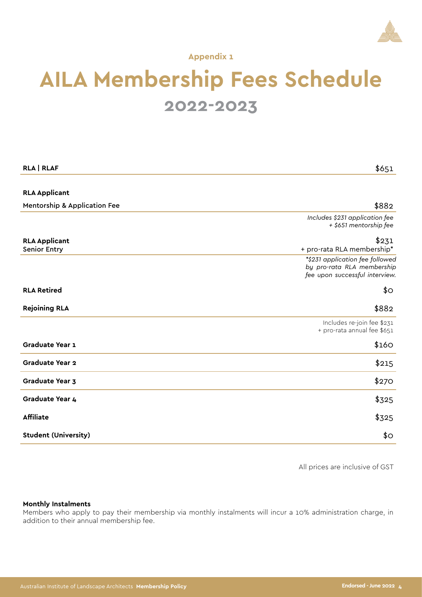

**Appendix 1**

## **AILA Membership Fees Schedule 2022-2023**

| <b>RLA   RLAF</b>                           | \$651                                                                                           |
|---------------------------------------------|-------------------------------------------------------------------------------------------------|
|                                             |                                                                                                 |
| <b>RLA Applicant</b>                        |                                                                                                 |
| <b>Mentorship &amp; Application Fee</b>     | \$882                                                                                           |
|                                             | Includes \$231 application fee<br>+ \$651 mentorship fee                                        |
| <b>RLA Applicant</b><br><b>Senior Entry</b> | \$231<br>+ pro-rata RLA membership*                                                             |
|                                             | *\$231 application fee followed<br>by pro-rata RLA membership<br>fee upon successful interview. |
| <b>RLA Retired</b>                          | \$О                                                                                             |
| <b>Rejoining RLA</b>                        | \$882                                                                                           |
|                                             | Includes re-join fee \$231<br>+ pro-rata annual fee \$651                                       |
| Graduate Year 1                             | \$160                                                                                           |
| <b>Graduate Year 2</b>                      | \$215                                                                                           |
| Graduate Year 3                             | \$270                                                                                           |
| Graduate Year 4                             | \$325                                                                                           |
| <b>Affiliate</b>                            | \$325                                                                                           |
| <b>Student (University)</b>                 | \$О                                                                                             |

All prices are inclusive of GST

#### **Monthly Instalments**

Members who apply to pay their membership via monthly instalments will incur a 10% administration charge, in addition to their annual membership fee.